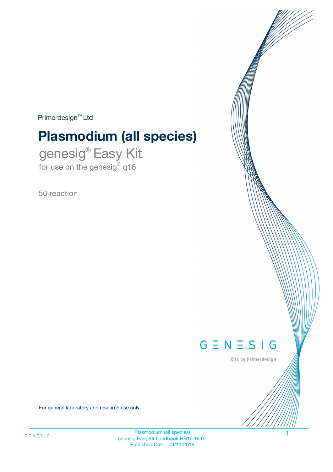$Primerdesign^{\text{TM}}Ltd$ 

# **Plasmodium (all species)**

genesig® Easy Kit for use on the genesig® q16

50 reaction



Kits by Primerdesign

For general laboratory and research use only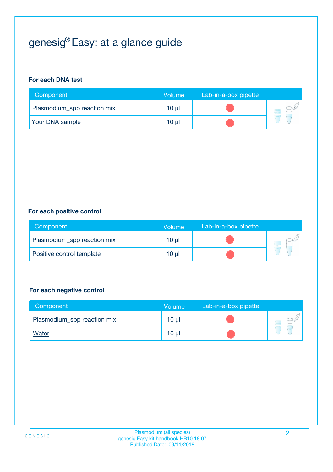## genesig® Easy: at a glance guide

#### **For each DNA test**

| Component                   | <b>Volume</b> | Lab-in-a-box pipette |  |
|-----------------------------|---------------|----------------------|--|
| Plasmodium_spp reaction mix | $10 \mu$      |                      |  |
| <b>Your DNA sample</b>      | 10 µl         |                      |  |

#### **For each positive control**

| Component                   | Volume          | Lab-in-a-box pipette |  |
|-----------------------------|-----------------|----------------------|--|
| Plasmodium_spp reaction mix | 10 <sub>µ</sub> |                      |  |
| Positive control template   | 10 <sub>µ</sub> |                      |  |

#### **For each negative control**

| Component                   | <b>Volume</b>   | Lab-in-a-box pipette |  |
|-----------------------------|-----------------|----------------------|--|
| Plasmodium_spp reaction mix | 10 <sub>µ</sub> |                      |  |
| <u>Water</u>                | 10 <sub>µ</sub> |                      |  |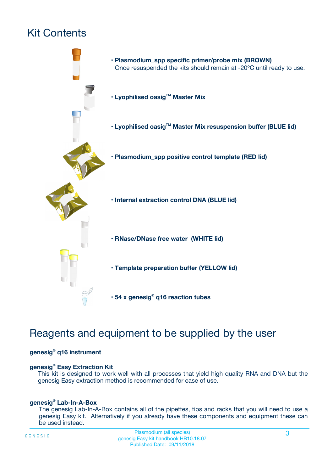## Kit Contents



## Reagents and equipment to be supplied by the user

#### **genesig® q16 instrument**

#### **genesig® Easy Extraction Kit**

This kit is designed to work well with all processes that yield high quality RNA and DNA but the genesig Easy extraction method is recommended for ease of use.

#### **genesig® Lab-In-A-Box**

The genesig Lab-In-A-Box contains all of the pipettes, tips and racks that you will need to use a genesig Easy kit. Alternatively if you already have these components and equipment these can be used instead.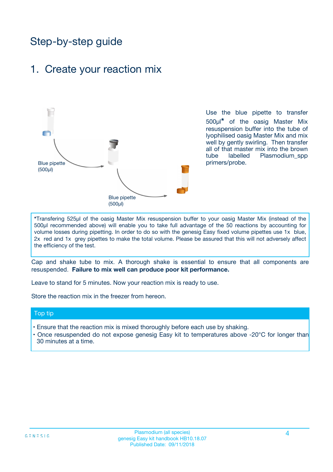## Step-by-step guide

### 1. Create your reaction mix



Use the blue pipette to transfer 500µl**\*** of the oasig Master Mix resuspension buffer into the tube of lyophilised oasig Master Mix and mix well by gently swirling. Then transfer all of that master mix into the brown tube labelled Plasmodium spp primers/probe.

**\***Transfering 525µl of the oasig Master Mix resuspension buffer to your oasig Master Mix (instead of the 500µl recommended above) will enable you to take full advantage of the 50 reactions by accounting for volume losses during pipetting. In order to do so with the genesig Easy fixed volume pipettes use 1x blue, 2x red and 1x grey pipettes to make the total volume. Please be assured that this will not adversely affect the efficiency of the test.

Cap and shake tube to mix. A thorough shake is essential to ensure that all components are resuspended. **Failure to mix well can produce poor kit performance.**

Leave to stand for 5 minutes. Now your reaction mix is ready to use.

Store the reaction mix in the freezer from hereon.

#### Top tip

- Ensure that the reaction mix is mixed thoroughly before each use by shaking.
- **•** Once resuspended do not expose genesig Easy kit to temperatures above -20°C for longer than 30 minutes at a time.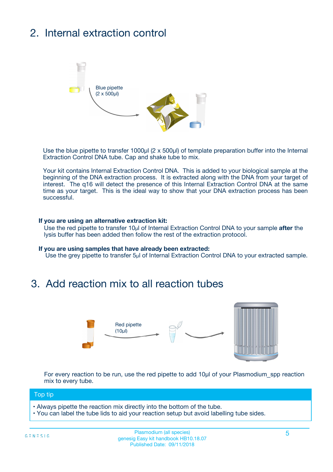## 2. Internal extraction control



Use the blue pipette to transfer 1000µl (2 x 500µl) of template preparation buffer into the Internal Extraction Control DNA tube. Cap and shake tube to mix.

Your kit contains Internal Extraction Control DNA. This is added to your biological sample at the beginning of the DNA extraction process. It is extracted along with the DNA from your target of interest. The q16 will detect the presence of this Internal Extraction Control DNA at the same time as your target. This is the ideal way to show that your DNA extraction process has been successful.

#### **If you are using an alternative extraction kit:**

Use the red pipette to transfer 10µl of Internal Extraction Control DNA to your sample **after** the lysis buffer has been added then follow the rest of the extraction protocol.

#### **If you are using samples that have already been extracted:**

Use the grey pipette to transfer 5µl of Internal Extraction Control DNA to your extracted sample.

### 3. Add reaction mix to all reaction tubes



For every reaction to be run, use the red pipette to add 10µl of your Plasmodium spp reaction mix to every tube.

#### Top tip

- Always pipette the reaction mix directly into the bottom of the tube.
- You can label the tube lids to aid your reaction setup but avoid labelling tube sides.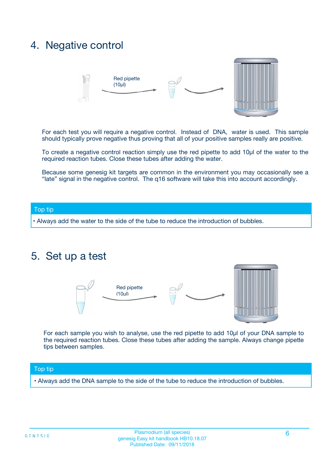### 4. Negative control



For each test you will require a negative control. Instead of DNA, water is used. This sample should typically prove negative thus proving that all of your positive samples really are positive.

To create a negative control reaction simply use the red pipette to add 10µl of the water to the required reaction tubes. Close these tubes after adding the water.

Because some genesig kit targets are common in the environment you may occasionally see a "late" signal in the negative control. The q16 software will take this into account accordingly.

#### Top tip

**•** Always add the water to the side of the tube to reduce the introduction of bubbles.

### 5. Set up a test



For each sample you wish to analyse, use the red pipette to add 10µl of your DNA sample to the required reaction tubes. Close these tubes after adding the sample. Always change pipette tips between samples.

#### Top tip

**•** Always add the DNA sample to the side of the tube to reduce the introduction of bubbles.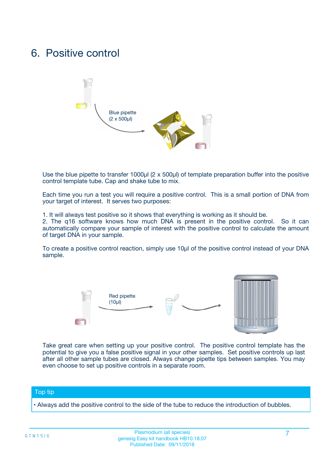### 6. Positive control



Use the blue pipette to transfer 1000µl (2 x 500µl) of template preparation buffer into the positive control template tube. Cap and shake tube to mix.

Each time you run a test you will require a positive control. This is a small portion of DNA from your target of interest. It serves two purposes:

1. It will always test positive so it shows that everything is working as it should be.

2. The q16 software knows how much DNA is present in the positive control. So it can automatically compare your sample of interest with the positive control to calculate the amount of target DNA in your sample.

To create a positive control reaction, simply use 10µl of the positive control instead of your DNA sample.



Take great care when setting up your positive control. The positive control template has the potential to give you a false positive signal in your other samples. Set positive controls up last after all other sample tubes are closed. Always change pipette tips between samples. You may even choose to set up positive controls in a separate room.

#### Top tip

**•** Always add the positive control to the side of the tube to reduce the introduction of bubbles.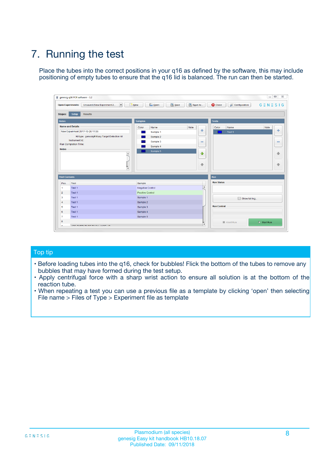## 7. Running the test

Place the tubes into the correct positions in your q16 as defined by the software, this may include positioning of empty tubes to ensure that the q16 lid is balanced. The run can then be started.

| genesig q16 PCR software - 1.2                                               |                                     | $\Box$                                                                                  |
|------------------------------------------------------------------------------|-------------------------------------|-----------------------------------------------------------------------------------------|
| Unsaved (New Experiment 2<br>$\vert \cdot \vert$<br><b>Open Experiments:</b> | <b>D</b> Open<br>Save<br>$\Box$ New | Save As<br><b>C</b> Close<br>$G \equiv N \equiv S \mid G$<br><b>&amp; Configuration</b> |
| Setup<br><b>Results</b><br><b>Stages:</b>                                    |                                     |                                                                                         |
| <b>Notes</b>                                                                 | Samples                             | <b>Tests</b>                                                                            |
| <b>Name and Details</b>                                                      | Color<br>Name                       | Note<br>Color<br>Note<br>Name                                                           |
| New Experiment 2017-10-26 11:06                                              | Sample 1                            | 条<br>علي<br>Test 1                                                                      |
| Kit type: genesig® Easy Target Detection kit                                 | Sample 2                            |                                                                                         |
| Instrument Id.:                                                              | Sample 3                            | $\qquad \qquad \blacksquare$<br>$\qquad \qquad \blacksquare$                            |
| Run Completion Time:                                                         | Sample 4                            |                                                                                         |
| <b>Notes</b>                                                                 | Sample 5<br>A<br>v                  | $\triangle$<br>4<br>$\oplus$<br>₩                                                       |
| <b>Well Contents</b>                                                         |                                     | <b>Run</b>                                                                              |
| Pos.<br>Test                                                                 | Sample                              | <b>Run Status</b>                                                                       |
| Test 1<br>-1                                                                 | <b>Negative Control</b>             | $\blacktriangle$                                                                        |
| $\overline{2}$<br>Test 1                                                     | <b>Positive Control</b>             |                                                                                         |
| $\overline{\mathbf{3}}$<br>Test 1                                            | Sample 1                            | Show full log                                                                           |
| Test 1<br>$\overline{4}$                                                     | Sample 2                            |                                                                                         |
| 5<br>Test 1                                                                  | Sample 3                            | <b>Run Control</b>                                                                      |
| 6<br>Test 1                                                                  | Sample 4                            |                                                                                         |
| $\overline{7}$<br>Test 1                                                     | Sample 5                            |                                                                                         |
| 8                                                                            |                                     | $\triangleright$ Start Run<br>Abort Run                                                 |
| <b>JOD FURTY TUDE TO BUILDED IN</b>                                          |                                     | $\overline{\mathbf{v}}$                                                                 |

#### Top tip

- Before loading tubes into the q16, check for bubbles! Flick the bottom of the tubes to remove any bubbles that may have formed during the test setup.
- Apply centrifugal force with a sharp wrist action to ensure all solution is at the bottom of the reaction tube.
- When repeating a test you can use a previous file as a template by clicking 'open' then selecting File name > Files of Type > Experiment file as template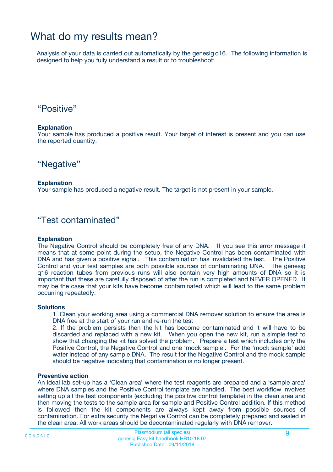### What do my results mean?

Analysis of your data is carried out automatically by the genesig q16. The following information is designed to help you fully understand a result or to troubleshoot:

### "Positive"

#### **Explanation**

Your sample has produced a positive result. Your target of interest is present and you can use the reported quantity.

"Negative"

#### **Explanation**

Your sample has produced a negative result. The target is not present in your sample.

### "Test contaminated"

#### **Explanation**

The Negative Control should be completely free of any DNA. If you see this error message it means that at some point during the setup, the Negative Control has been contaminated with DNA and has given a positive signal. This contamination has invalidated the test. The Positive Control and your test samples are both possible sources of contaminating DNA. The genesig q16 reaction tubes from previous runs will also contain very high amounts of DNA so it is important that these are carefully disposed of after the run is completed and NEVER OPENED. It may be the case that your kits have become contaminated which will lead to the same problem occurring repeatedly.

#### **Solutions**

1. Clean your working area using a commercial DNA remover solution to ensure the area is DNA free at the start of your run and re-run the test

2. If the problem persists then the kit has become contaminated and it will have to be discarded and replaced with a new kit. When you open the new kit, run a simple test to show that changing the kit has solved the problem. Prepare a test which includes only the Positive Control, the Negative Control and one 'mock sample'. For the 'mock sample' add water instead of any sample DNA. The result for the Negative Control and the mock sample should be negative indicating that contamination is no longer present.

#### **Preventive action**

An ideal lab set-up has a 'Clean area' where the test reagents are prepared and a 'sample area' where DNA samples and the Positive Control template are handled. The best workflow involves setting up all the test components (excluding the positive control template) in the clean area and then moving the tests to the sample area for sample and Positive Control addition. If this method is followed then the kit components are always kept away from possible sources of contamination. For extra security the Negative Control can be completely prepared and sealed in the clean area. All work areas should be decontaminated regularly with DNA remover.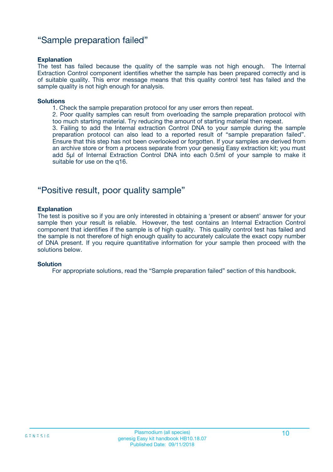### "Sample preparation failed"

#### **Explanation**

The test has failed because the quality of the sample was not high enough. The Internal Extraction Control component identifies whether the sample has been prepared correctly and is of suitable quality. This error message means that this quality control test has failed and the sample quality is not high enough for analysis.

#### **Solutions**

1. Check the sample preparation protocol for any user errors then repeat.

2. Poor quality samples can result from overloading the sample preparation protocol with too much starting material. Try reducing the amount of starting material then repeat.

3. Failing to add the Internal extraction Control DNA to your sample during the sample preparation protocol can also lead to a reported result of "sample preparation failed". Ensure that this step has not been overlooked or forgotten. If your samples are derived from an archive store or from a process separate from your genesig Easy extraction kit; you must add 5µl of Internal Extraction Control DNA into each 0.5ml of your sample to make it suitable for use on the q16.

### "Positive result, poor quality sample"

#### **Explanation**

The test is positive so if you are only interested in obtaining a 'present or absent' answer for your sample then your result is reliable. However, the test contains an Internal Extraction Control component that identifies if the sample is of high quality. This quality control test has failed and the sample is not therefore of high enough quality to accurately calculate the exact copy number of DNA present. If you require quantitative information for your sample then proceed with the solutions below.

#### **Solution**

For appropriate solutions, read the "Sample preparation failed" section of this handbook.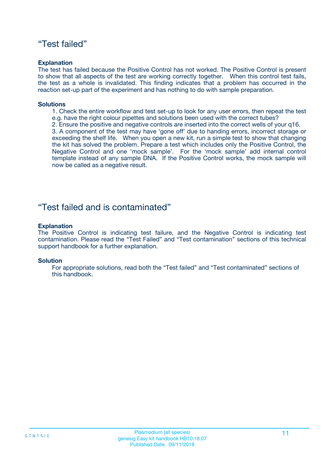### "Test failed"

#### **Explanation**

The test has failed because the Positive Control has not worked. The Positive Control is present to show that all aspects of the test are working correctly together. When this control test fails, the test as a whole is invalidated. This finding indicates that a problem has occurred in the reaction set-up part of the experiment and has nothing to do with sample preparation.

#### **Solutions**

- 1. Check the entire workflow and test set-up to look for any user errors, then repeat the test e.g. have the right colour pipettes and solutions been used with the correct tubes?
- 2. Ensure the positive and negative controls are inserted into the correct wells of your q16.

3. A component of the test may have 'gone off' due to handing errors, incorrect storage or exceeding the shelf life. When you open a new kit, run a simple test to show that changing the kit has solved the problem. Prepare a test which includes only the Positive Control, the Negative Control and one 'mock sample'. For the 'mock sample' add internal control template instead of any sample DNA. If the Positive Control works, the mock sample will now be called as a negative result.

### "Test failed and is contaminated"

#### **Explanation**

The Positive Control is indicating test failure, and the Negative Control is indicating test contamination. Please read the "Test Failed" and "Test contamination" sections of this technical support handbook for a further explanation.

#### **Solution**

For appropriate solutions, read both the "Test failed" and "Test contaminated" sections of this handbook.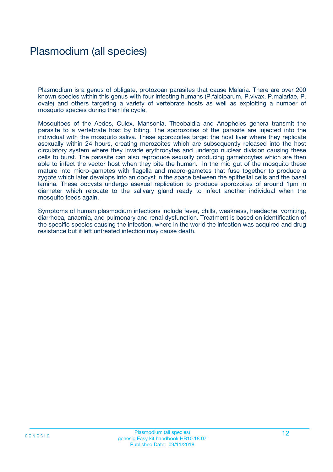## Plasmodium (all species)

Plasmodium is a genus of obligate, protozoan parasites that cause Malaria. There are over 200 known species within this genus with four infecting humans (P.falciparum, P.vivax, P.malariae, P. ovale) and others targeting a variety of vertebrate hosts as well as exploiting a number of mosquito species during their life cycle.

Mosquitoes of the Aedes, Culex, Mansonia, Theobaldia and Anopheles genera transmit the parasite to a vertebrate host by biting. The sporozoites of the parasite are injected into the individual with the mosquito saliva. These sporozoites target the host liver where they replicate asexually within 24 hours, creating merozoites which are subsequently released into the host circulatory system where they invade erythrocytes and undergo nuclear division causing these cells to burst. The parasite can also reproduce sexually producing gametocytes which are then able to infect the vector host when they bite the human. In the mid gut of the mosquito these mature into micro-gametes with flagella and macro-gametes that fuse together to produce a zygote which later develops into an oocyst in the space between the epithelial cells and the basal lamina. These oocysts undergo asexual replication to produce sporozoites of around 1µm in diameter which relocate to the salivary gland ready to infect another individual when the mosquito feeds again.

Symptoms of human plasmodium infections include fever, chills, weakness, headache, vomiting, diarrhoea, anaemia, and pulmonary and renal dysfunction. Treatment is based on identification of the specific species causing the infection, where in the world the infection was acquired and drug resistance but if left untreated infection may cause death.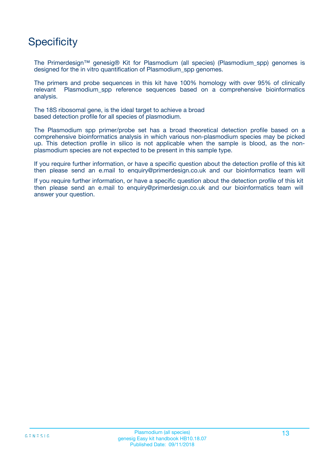## **Specificity**

The Primerdesign™ genesig® Kit for Plasmodium (all species) (Plasmodium\_spp) genomes is designed for the in vitro quantification of Plasmodium\_spp genomes.

The primers and probe sequences in this kit have 100% homology with over 95% of clinically relevant Plasmodium\_spp reference sequences based on a comprehensive bioinformatics analysis.

The 18S ribosomal gene, is the ideal target to achieve a broad based detection profile for all species of plasmodium.

The Plasmodium spp primer/probe set has a broad theoretical detection profile based on a comprehensive bioinformatics analysis in which various non-plasmodium species may be picked up. This detection profile in silico is not applicable when the sample is blood, as the nonplasmodium species are not expected to be present in this sample type.

If you require further information, or have a specific question about the detection profile of this kit then please send an e.mail to enquiry@primerdesign.co.uk and our bioinformatics team will

If you require further information, or have a specific question about the detection profile of this kit then please send an e.mail to enquiry@primerdesign.co.uk and our bioinformatics team will answer your question.